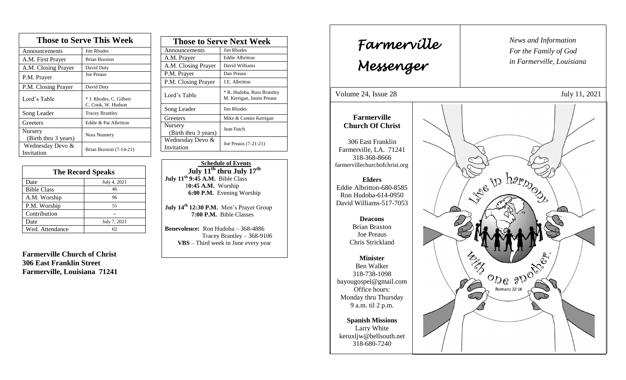| <b>Those to Serve This Week</b> |                                               |  |
|---------------------------------|-----------------------------------------------|--|
| Announcements                   | <b>Jim Rhodes</b>                             |  |
| A.M. First Prayer               | <b>Brian Braxton</b>                          |  |
| A.M. Closing Prayer             | David Duty                                    |  |
| P.M. Prayer                     | <b>Joe Preaus</b>                             |  |
| P.M. Closing Prayer             | David Duty                                    |  |
| Lord's Table                    | * J. Rhodes, C. Gilbert<br>C. Cook, W. Hudson |  |
| Song Leader                     | <b>Tracey Brantley</b>                        |  |
| Greeters                        | Eddie & Pat Albritton                         |  |
| Nursery<br>(Birth thru 3 years) | Nora Nunnery                                  |  |
| Wednesday Devo &<br>Invitation  | Brian Braxton (7-14-21)                       |  |

| <b>The Record Speaks</b> |              |
|--------------------------|--------------|
| Date                     | July 4, 2021 |
| <b>Bible Class</b>       | 46           |
| A.M. Worship             | 96           |
| P.M. Worship             | 55           |
| Contribution             |              |
| Date                     | July 7, 2021 |
| Wed. Attendance          | 62           |

**Farmerville Church of Christ 306 East Franklin Street Farmerville, Louisiana 71241**

| <b>Those to Serve Next Week</b> |                                                          |
|---------------------------------|----------------------------------------------------------|
| Announcements                   | Jim Rhodes                                               |
| A.M. Prayer                     | <b>Eddie Albritton</b>                                   |
| A.M. Closing Prayer             | David Williams                                           |
| P.M. Prayer                     | Dan Preaus                                               |
| P.M. Closing Prayer             | J.E. Albritton                                           |
| Lord's Table                    | * R. Hudoba, Russ Brantley<br>M. Kerrigan, Justin Preaus |
| Song Leader                     | Jim Rhodes                                               |
| Greeters                        | Mike & Connie Kerrigan                                   |
| Nursery<br>(Birth thru 3 years) | Jean Futch                                               |
| Wednesday Devo &<br>Invitation  | Joe Preaus (7-21-21)                                     |

 **Schedule of Events July 11th thru July 17 th July 11th 9:45 A.M.** Bible Class 1**0:45 A.M.** Worship  **6:00 P.M.** Evening Worship

**July 14th 12:30 P.M.** Men's Prayer Group **7:00 P.M.** Bible Classes

**Benevolence:** Ron Hudoba – 368-4886 Tracey Brantley – 368-9106 **VBS** – Third week in June every year

*News and Information* **Farmerville**  $\begin{bmatrix} \text{News and} \end{bmatrix}$ *For the Family of God in Farmerville, Louisiana Messenger*  Volume 24, Issue 28 July 11, 2021 , 2015 **Farmerville Church Of Christ** 306 East Franklin Farmerville, LA. 71241 318-368-8666 farmervillechurchofchrist.org Re to happy **Elders** Eddie Albritton-680-8585 Ron Hudoba-614-0950 David Williams-517-7053 **Deacons**  Brian Braxton Joe Preaus Chris Strickland E ODE 2D JOSE **Minister** Ben Walker 318-738-1098 bayougospel@gmail.com S Romans 12:16 Office hours:  $\mathcal{L}$ Monday thru Thursday 9 a.m. til 2 p.m. **Spanish Missions** Larry White keruxljw@bellsouth.net 318-680-7240